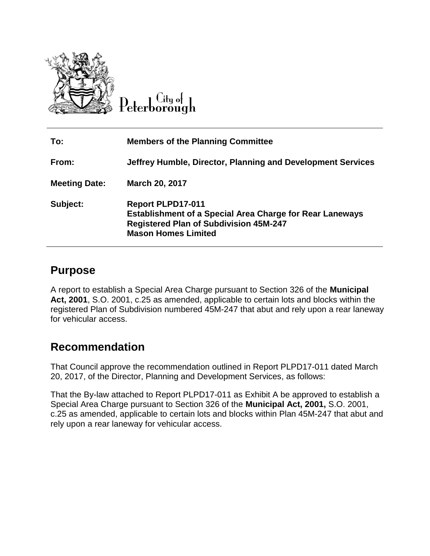

Lity of Peterborough

| To:                  | <b>Members of the Planning Committee</b>                                                                                                                                   |
|----------------------|----------------------------------------------------------------------------------------------------------------------------------------------------------------------------|
| From:                | Jeffrey Humble, Director, Planning and Development Services                                                                                                                |
| <b>Meeting Date:</b> | <b>March 20, 2017</b>                                                                                                                                                      |
| Subject:             | <b>Report PLPD17-011</b><br><b>Establishment of a Special Area Charge for Rear Laneways</b><br><b>Registered Plan of Subdivision 45M-247</b><br><b>Mason Homes Limited</b> |

## **Purpose**

A report to establish a Special Area Charge pursuant to Section 326 of the **Municipal Act, 2001**, S.O. 2001, c.25 as amended, applicable to certain lots and blocks within the registered Plan of Subdivision numbered 45M-247 that abut and rely upon a rear laneway for vehicular access.

# **Recommendation**

That Council approve the recommendation outlined in Report PLPD17-011 dated March 20, 2017, of the Director, Planning and Development Services, as follows:

That the By-law attached to Report PLPD17-011 as Exhibit A be approved to establish a Special Area Charge pursuant to Section 326 of the **Municipal Act, 2001,** S.O. 2001, c.25 as amended, applicable to certain lots and blocks within Plan 45M-247 that abut and rely upon a rear laneway for vehicular access.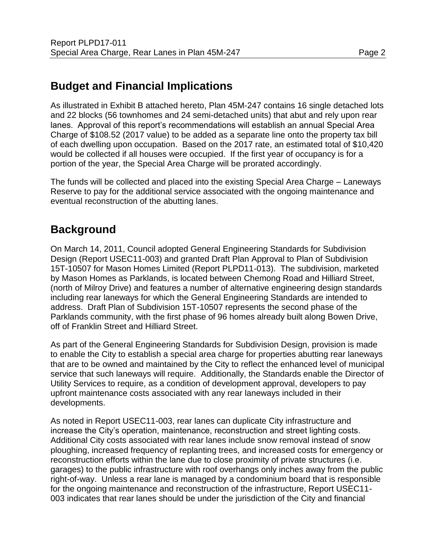# **Budget and Financial Implications**

As illustrated in Exhibit B attached hereto, Plan 45M-247 contains 16 single detached lots and 22 blocks (56 townhomes and 24 semi-detached units) that abut and rely upon rear lanes. Approval of this report's recommendations will establish an annual Special Area Charge of \$108.52 (2017 value) to be added as a separate line onto the property tax bill of each dwelling upon occupation. Based on the 2017 rate, an estimated total of \$10,420 would be collected if all houses were occupied. If the first year of occupancy is for a portion of the year, the Special Area Charge will be prorated accordingly.

The funds will be collected and placed into the existing Special Area Charge – Laneways Reserve to pay for the additional service associated with the ongoing maintenance and eventual reconstruction of the abutting lanes.

# **Background**

On March 14, 2011, Council adopted General Engineering Standards for Subdivision Design (Report USEC11-003) and granted Draft Plan Approval to Plan of Subdivision 15T-10507 for Mason Homes Limited (Report PLPD11-013). The subdivision, marketed by Mason Homes as Parklands, is located between Chemong Road and Hilliard Street, (north of Milroy Drive) and features a number of alternative engineering design standards including rear laneways for which the General Engineering Standards are intended to address. Draft Plan of Subdivision 15T-10507 represents the second phase of the Parklands community, with the first phase of 96 homes already built along Bowen Drive, off of Franklin Street and Hilliard Street.

As part of the General Engineering Standards for Subdivision Design, provision is made to enable the City to establish a special area charge for properties abutting rear laneways that are to be owned and maintained by the City to reflect the enhanced level of municipal service that such laneways will require. Additionally, the Standards enable the Director of Utility Services to require, as a condition of development approval, developers to pay upfront maintenance costs associated with any rear laneways included in their developments.

As noted in Report USEC11-003, rear lanes can duplicate City infrastructure and increase the City's operation, maintenance, reconstruction and street lighting costs. Additional City costs associated with rear lanes include snow removal instead of snow ploughing, increased frequency of replanting trees, and increased costs for emergency or reconstruction efforts within the lane due to close proximity of private structures (i.e. garages) to the public infrastructure with roof overhangs only inches away from the public right-of-way. Unless a rear lane is managed by a condominium board that is responsible for the ongoing maintenance and reconstruction of the infrastructure, Report USEC11- 003 indicates that rear lanes should be under the jurisdiction of the City and financial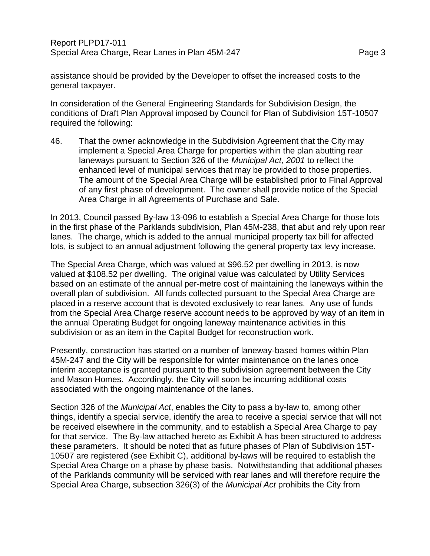assistance should be provided by the Developer to offset the increased costs to the general taxpayer.

In consideration of the General Engineering Standards for Subdivision Design, the conditions of Draft Plan Approval imposed by Council for Plan of Subdivision 15T-10507 required the following:

46. That the owner acknowledge in the Subdivision Agreement that the City may implement a Special Area Charge for properties within the plan abutting rear laneways pursuant to Section 326 of the *Municipal Act, 2001* to reflect the enhanced level of municipal services that may be provided to those properties. The amount of the Special Area Charge will be established prior to Final Approval of any first phase of development. The owner shall provide notice of the Special Area Charge in all Agreements of Purchase and Sale.

In 2013, Council passed By-law 13-096 to establish a Special Area Charge for those lots in the first phase of the Parklands subdivision, Plan 45M-238, that abut and rely upon rear lanes. The charge, which is added to the annual municipal property tax bill for affected lots, is subject to an annual adjustment following the general property tax levy increase.

The Special Area Charge, which was valued at \$96.52 per dwelling in 2013, is now valued at \$108.52 per dwelling. The original value was calculated by Utility Services based on an estimate of the annual per-metre cost of maintaining the laneways within the overall plan of subdivision. All funds collected pursuant to the Special Area Charge are placed in a reserve account that is devoted exclusively to rear lanes. Any use of funds from the Special Area Charge reserve account needs to be approved by way of an item in the annual Operating Budget for ongoing laneway maintenance activities in this subdivision or as an item in the Capital Budget for reconstruction work.

Presently, construction has started on a number of laneway-based homes within Plan 45M-247 and the City will be responsible for winter maintenance on the lanes once interim acceptance is granted pursuant to the subdivision agreement between the City and Mason Homes. Accordingly, the City will soon be incurring additional costs associated with the ongoing maintenance of the lanes.

Section 326 of the *Municipal Act*, enables the City to pass a by-law to, among other things, identify a special service, identify the area to receive a special service that will not be received elsewhere in the community, and to establish a Special Area Charge to pay for that service. The By-law attached hereto as Exhibit A has been structured to address these parameters. It should be noted that as future phases of Plan of Subdivision 15T-10507 are registered (see Exhibit C), additional by-laws will be required to establish the Special Area Charge on a phase by phase basis. Notwithstanding that additional phases of the Parklands community will be serviced with rear lanes and will therefore require the Special Area Charge, subsection 326(3) of the *Municipal Act* prohibits the City from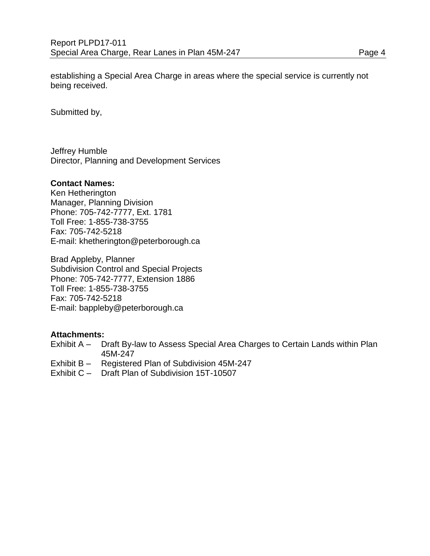establishing a Special Area Charge in areas where the special service is currently not being received.

Submitted by,

Jeffrey Humble Director, Planning and Development Services

#### **Contact Names:**

Ken Hetherington Manager, Planning Division Phone: 705-742-7777, Ext. 1781 Toll Free: 1-855-738-3755 Fax: 705-742-5218 E-mail: khetherington@peterborough.ca

Brad Appleby, Planner Subdivision Control and Special Projects Phone: 705-742-7777, Extension 1886 Toll Free: 1-855-738-3755 Fax: 705-742-5218 E-mail: bappleby@peterborough.ca

#### **Attachments:**

- Exhibit A Draft By-law to Assess Special Area Charges to Certain Lands within Plan 45M-247
- Exhibit B Registered Plan of Subdivision 45M-247
- Exhibit C Draft Plan of Subdivision 15T-10507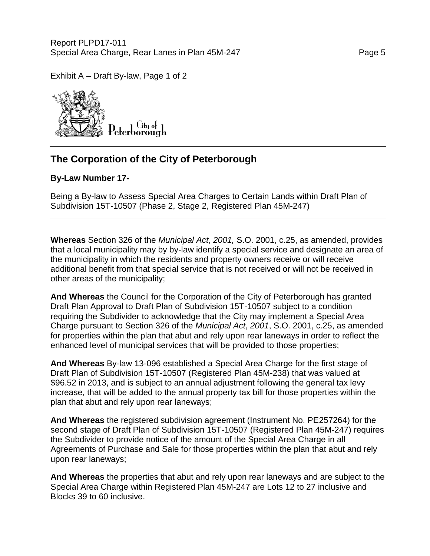Exhibit A – Draft By-law, Page 1 of 2



## **The Corporation of the City of Peterborough**

### **By-Law Number 17-**

Being a By-law to Assess Special Area Charges to Certain Lands within Draft Plan of Subdivision 15T-10507 (Phase 2, Stage 2, Registered Plan 45M-247)

**Whereas** Section 326 of the *Municipal Act*, *2001,* S.O. 2001, c.25, as amended, provides that a local municipality may by by-law identify a special service and designate an area of the municipality in which the residents and property owners receive or will receive additional benefit from that special service that is not received or will not be received in other areas of the municipality;

**And Whereas** the Council for the Corporation of the City of Peterborough has granted Draft Plan Approval to Draft Plan of Subdivision 15T-10507 subject to a condition requiring the Subdivider to acknowledge that the City may implement a Special Area Charge pursuant to Section 326 of the *Municipal Act*, *2001*, S.O. 2001, c.25, as amended for properties within the plan that abut and rely upon rear laneways in order to reflect the enhanced level of municipal services that will be provided to those properties;

**And Whereas** By-law 13-096 established a Special Area Charge for the first stage of Draft Plan of Subdivision 15T-10507 (Registered Plan 45M-238) that was valued at \$96.52 in 2013, and is subject to an annual adjustment following the general tax levy increase, that will be added to the annual property tax bill for those properties within the plan that abut and rely upon rear laneways;

**And Whereas** the registered subdivision agreement (Instrument No. PE257264) for the second stage of Draft Plan of Subdivision 15T-10507 (Registered Plan 45M-247) requires the Subdivider to provide notice of the amount of the Special Area Charge in all Agreements of Purchase and Sale for those properties within the plan that abut and rely upon rear laneways;

**And Whereas** the properties that abut and rely upon rear laneways and are subject to the Special Area Charge within Registered Plan 45M-247 are Lots 12 to 27 inclusive and Blocks 39 to 60 inclusive.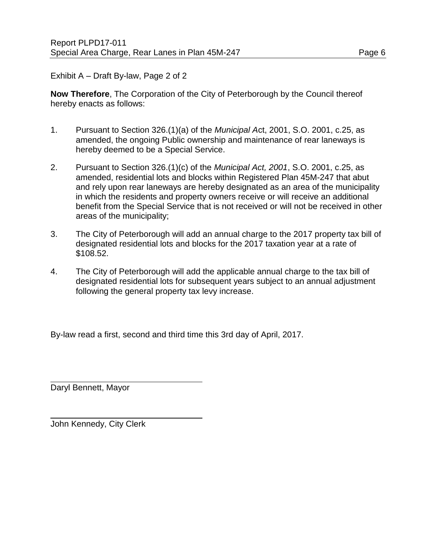Exhibit A – Draft By-law, Page 2 of 2

**Now Therefore**, The Corporation of the City of Peterborough by the Council thereof hereby enacts as follows:

- 1. Pursuant to Section 326.(1)(a) of the *Municipal A*ct, 2001, S.O. 2001, c.25, as amended, the ongoing Public ownership and maintenance of rear laneways is hereby deemed to be a Special Service.
- 2. Pursuant to Section 326.(1)(c) of the *Municipal Act, 2001*, S.O. 2001, c.25, as amended, residential lots and blocks within Registered Plan 45M-247 that abut and rely upon rear laneways are hereby designated as an area of the municipality in which the residents and property owners receive or will receive an additional benefit from the Special Service that is not received or will not be received in other areas of the municipality;
- 3. The City of Peterborough will add an annual charge to the 2017 property tax bill of designated residential lots and blocks for the 2017 taxation year at a rate of \$108.52.
- 4. The City of Peterborough will add the applicable annual charge to the tax bill of designated residential lots for subsequent years subject to an annual adjustment following the general property tax levy increase.

By-law read a first, second and third time this 3rd day of April, 2017.

Daryl Bennett, Mayor

John Kennedy, City Clerk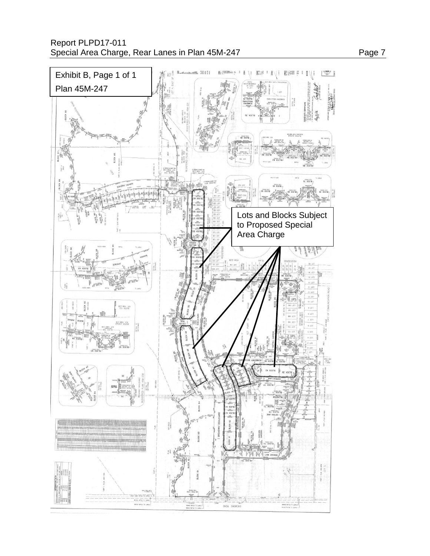